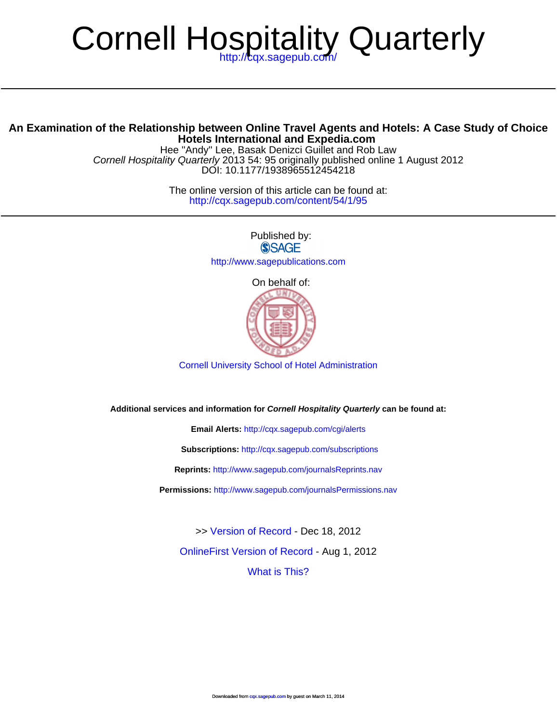# Cornell Hospitality Quarterly

# **Hotels International and Expedia.com An Examination of the Relationship between [Online Travel Agents an](http://cqx.sagepub.com/cgi/alerts)d Hotels: A Case Study of Choice**

DOI: 10.[1177/1938965512454218](http://cqx.sagepub.com/subscriptions) Cornell Hospitality Quarterly 2013 54: 95 originally published online 1 August 2012 Hee ''Andy'' Lee, Basak Denizci Guillet and Rob Law

> <http://cqx.sagepub.com/content/54/1/95> The online version of this article can be found at:

> > [Published by:](http://www.sagepub.com/journalsPermissions.nav)<br>
> > SAGE

<http://www.sagepublications.com>

On behalf of:

[Cornell University School of Hotel Administration](http://www.chr.cornell.edu)

**Additional services and information for Cornell Hospitality Quarterly can be found at:**

**Email Alerts:** <http://cqx.sagepub.com/cgi/alerts>

**Subscriptions:** <http://cqx.sagepub.com/subscriptions>

**Reprints:** <http://www.sagepub.com/journalsReprints.nav>

**Permissions:** <http://www.sagepub.com/journalsPermissions.nav>

[What is This?](http://online.sagepub.com/site/sphelp/vorhelp.xhtml) [OnlineFirst Version of Record -](http://cqx.sagepub.com/content/early/2012/07/26/1938965512454218.full.pdf) Aug 1, 2012 >> [Version of Record -](http://cqx.sagepub.com/content/54/1/95.full.pdf) Dec 18, 2012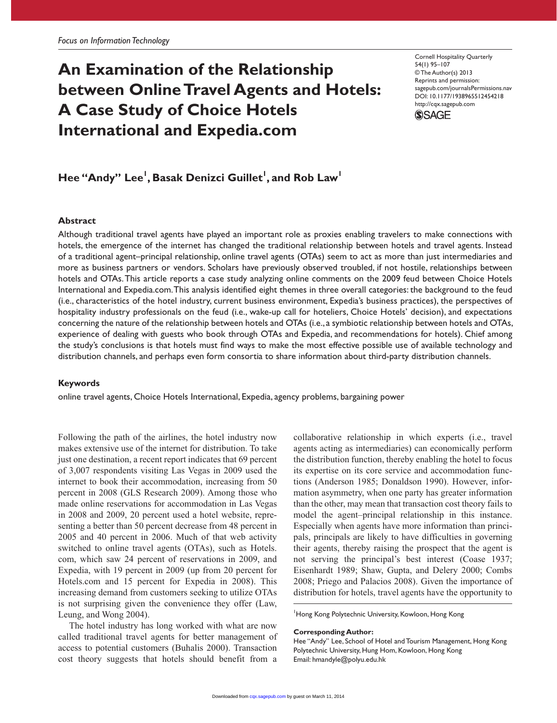# **An Examination of the Relationship between Online Travel Agents and Hotels: A Case Study of Choice Hotels International and Expedia.com**

Cornell Hospitality Quarterly 54(1) 95–107 © The Author(s) 2013 Reprints and permission: sagepub.com/journalsPermissions.nav DOI: 10.1177/1938965512454218 http://cqx.sagepub.com



# $\mathsf{Hee\,}$ "Andy" Lee<sup>1</sup>, Basak Denizci Guillet<sup>1</sup>, and Rob Law<sup>1</sup>

#### **Abstract**

Although traditional travel agents have played an important role as proxies enabling travelers to make connections with hotels, the emergence of the internet has changed the traditional relationship between hotels and travel agents. Instead of a traditional agent–principal relationship, online travel agents (OTAs) seem to act as more than just intermediaries and more as business partners or vendors. Scholars have previously observed troubled, if not hostile, relationships between hotels and OTAs. This article reports a case study analyzing online comments on the 2009 feud between Choice Hotels International and Expedia.com. This analysis identified eight themes in three overall categories: the background to the feud (i.e., characteristics of the hotel industry, current business environment, Expedia's business practices), the perspectives of hospitality industry professionals on the feud (i.e., wake-up call for hoteliers, Choice Hotels' decision), and expectations concerning the nature of the relationship between hotels and OTAs (i.e., a symbiotic relationship between hotels and OTAs, experience of dealing with guests who book through OTAs and Expedia, and recommendations for hotels). Chief among the study's conclusions is that hotels must find ways to make the most effective possible use of available technology and distribution channels, and perhaps even form consortia to share information about third-party distribution channels.

#### **Keywords**

online travel agents, Choice Hotels International, Expedia, agency problems, bargaining power

Following the path of the airlines, the hotel industry now makes extensive use of the internet for distribution. To take just one destination, a recent report indicates that 69 percent of 3,007 respondents visiting Las Vegas in 2009 used the internet to book their accommodation, increasing from 50 percent in 2008 (GLS Research 2009). Among those who made online reservations for accommodation in Las Vegas in 2008 and 2009, 20 percent used a hotel website, representing a better than 50 percent decrease from 48 percent in 2005 and 40 percent in 2006. Much of that web activity switched to online travel agents (OTAs), such as Hotels. com, which saw 24 percent of reservations in 2009, and Expedia, with 19 percent in 2009 (up from 20 percent for Hotels.com and 15 percent for Expedia in 2008). This increasing demand from customers seeking to utilize OTAs is not surprising given the convenience they offer (Law, Leung, and Wong 2004).

The hotel industry has long worked with what are now called traditional travel agents for better management of access to potential customers (Buhalis 2000). Transaction cost theory suggests that hotels should benefit from a collaborative relationship in which experts (i.e., travel agents acting as intermediaries) can economically perform the distribution function, thereby enabling the hotel to focus its expertise on its core service and accommodation functions (Anderson 1985; Donaldson 1990). However, information asymmetry, when one party has greater information than the other, may mean that transaction cost theory fails to model the agent–principal relationship in this instance. Especially when agents have more information than principals, principals are likely to have difficulties in governing their agents, thereby raising the prospect that the agent is not serving the principal's best interest (Coase 1937; Eisenhardt 1989; Shaw, Gupta, and Delery 2000; Combs 2008; Priego and Palacios 2008). Given the importance of distribution for hotels, travel agents have the opportunity to

#### **Corresponding Author:**

Hee "Andy" Lee, School of Hotel and Tourism Management, Hong Kong Polytechnic University, Hung Hom, Kowloon, Hong Kong Email: hmandyle@polyu.edu.hk

<sup>&</sup>lt;sup>1</sup>Hong Kong Polytechnic University, Kowloon, Hong Kong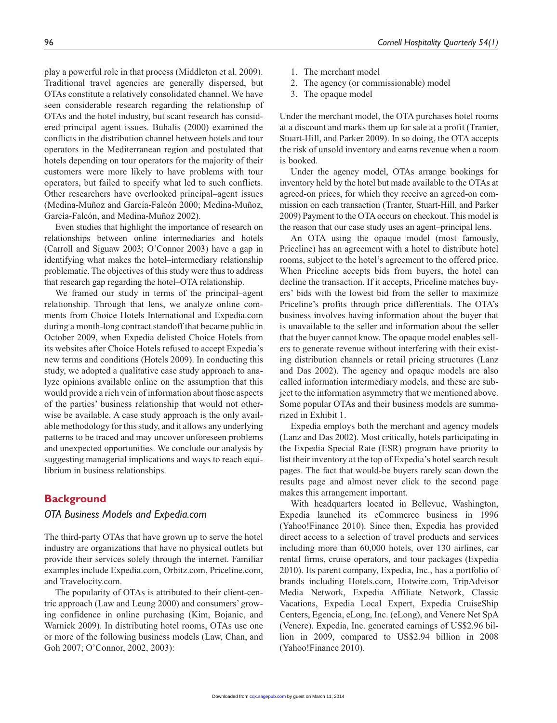play a powerful role in that process (Middleton et al. 2009). Traditional travel agencies are generally dispersed, but OTAs constitute a relatively consolidated channel. We have seen considerable research regarding the relationship of OTAs and the hotel industry, but scant research has considered principal–agent issues. Buhalis (2000) examined the conflicts in the distribution channel between hotels and tour operators in the Mediterranean region and postulated that hotels depending on tour operators for the majority of their customers were more likely to have problems with tour operators, but failed to specify what led to such conflicts. Other researchers have overlooked principal–agent issues (Medina-Muñoz and García-Falcón 2000; Medina-Muñoz, García-Falcón, and Medina-Muñoz 2002).

Even studies that highlight the importance of research on relationships between online intermediaries and hotels (Carroll and Siguaw 2003; O'Connor 2003) have a gap in identifying what makes the hotel–intermediary relationship problematic. The objectives of this study were thus to address that research gap regarding the hotel–OTA relationship.

We framed our study in terms of the principal–agent relationship. Through that lens, we analyze online comments from Choice Hotels International and Expedia.com during a month-long contract standoff that became public in October 2009, when Expedia delisted Choice Hotels from its websites after Choice Hotels refused to accept Expedia's new terms and conditions (Hotels 2009). In conducting this study, we adopted a qualitative case study approach to analyze opinions available online on the assumption that this would provide a rich vein of information about those aspects of the parties' business relationship that would not otherwise be available. A case study approach is the only available methodology for this study, and it allows any underlying patterns to be traced and may uncover unforeseen problems and unexpected opportunities. We conclude our analysis by suggesting managerial implications and ways to reach equilibrium in business relationships.

# **Background**

#### *OTA Business Models and Expedia.com*

The third-party OTAs that have grown up to serve the hotel industry are organizations that have no physical outlets but provide their services solely through the internet. Familiar examples include Expedia.com, Orbitz.com, Priceline.com, and Travelocity.com.

The popularity of OTAs is attributed to their client-centric approach (Law and Leung 2000) and consumers' growing confidence in online purchasing (Kim, Bojanic, and Warnick 2009). In distributing hotel rooms, OTAs use one or more of the following business models (Law, Chan, and Goh 2007; O'Connor, 2002, 2003):

- 1. The merchant model
- 2. The agency (or commissionable) model
- 3. The opaque model

Under the merchant model, the OTA purchases hotel rooms at a discount and marks them up for sale at a profit (Tranter, Stuart-Hill, and Parker 2009). In so doing, the OTA accepts the risk of unsold inventory and earns revenue when a room is booked.

Under the agency model, OTAs arrange bookings for inventory held by the hotel but made available to the OTAs at agreed-on prices, for which they receive an agreed-on commission on each transaction (Tranter, Stuart-Hill, and Parker 2009) Payment to the OTA occurs on checkout. This model is the reason that our case study uses an agent–principal lens.

An OTA using the opaque model (most famously, Priceline) has an agreement with a hotel to distribute hotel rooms, subject to the hotel's agreement to the offered price. When Priceline accepts bids from buyers, the hotel can decline the transaction. If it accepts, Priceline matches buyers' bids with the lowest bid from the seller to maximize Priceline's profits through price differentials. The OTA's business involves having information about the buyer that is unavailable to the seller and information about the seller that the buyer cannot know. The opaque model enables sellers to generate revenue without interfering with their existing distribution channels or retail pricing structures (Lanz and Das 2002). The agency and opaque models are also called information intermediary models, and these are subject to the information asymmetry that we mentioned above. Some popular OTAs and their business models are summarized in Exhibit 1.

Expedia employs both the merchant and agency models (Lanz and Das 2002). Most critically, hotels participating in the Expedia Special Rate (ESR) program have priority to list their inventory at the top of Expedia's hotel search result pages. The fact that would-be buyers rarely scan down the results page and almost never click to the second page makes this arrangement important.

With headquarters located in Bellevue, Washington, Expedia launched its eCommerce business in 1996 (Yahoo!Finance 2010). Since then, Expedia has provided direct access to a selection of travel products and services including more than 60,000 hotels, over 130 airlines, car rental firms, cruise operators, and tour packages (Expedia 2010). Its parent company, Expedia, Inc., has a portfolio of brands including Hotels.com, Hotwire.com, TripAdvisor Media Network, Expedia Affiliate Network, Classic Vacations, Expedia Local Expert, Expedia CruiseShip Centers, Egencia, eLong, Inc. (eLong), and Venere Net SpA (Venere). Expedia, Inc. generated earnings of US\$2.96 billion in 2009, compared to US\$2.94 billion in 2008 (Yahoo!Finance 2010).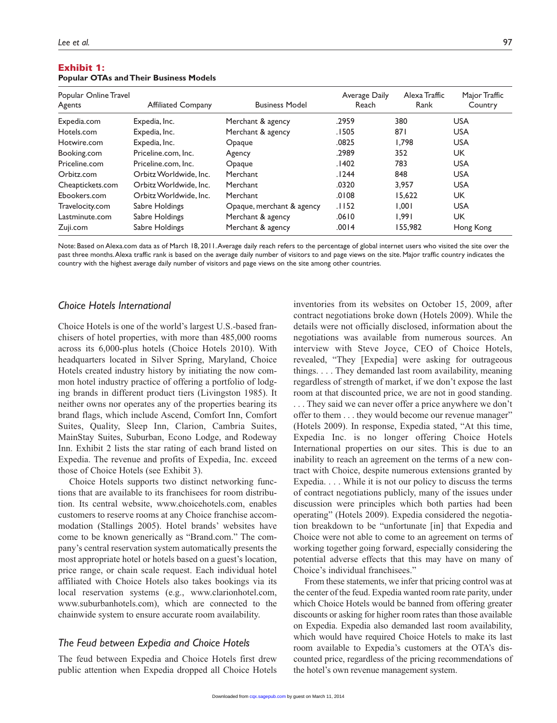| Popular Online Travel<br>Agents | <b>Affiliated Company</b> | <b>Business Model</b>     | Average Daily<br>Reach | Alexa Traffic<br>Rank | Major Traffic<br>Country |
|---------------------------------|---------------------------|---------------------------|------------------------|-----------------------|--------------------------|
|                                 |                           |                           |                        |                       |                          |
| Expedia.com                     | Expedia, Inc.             | Merchant & agency         | .2959                  | 380                   | <b>USA</b>               |
| Hotels.com                      | Expedia, Inc.             | Merchant & agency         | .1505                  | 871                   | <b>USA</b>               |
| Hotwire.com                     | Expedia, Inc.             | Opaque                    | .0825                  | 1.798                 | <b>USA</b>               |
| Booking.com                     | Priceline.com. Inc.       | Agency                    | .2989                  | 352                   | UK                       |
| Priceline.com                   | Priceline.com. Inc.       | Opaque                    | .1402                  | 783                   | <b>USA</b>               |
| Orbitz.com                      | Orbitz Worldwide, Inc.    | Merchant                  | .1244                  | 848                   | <b>USA</b>               |
| Cheaptickets.com                | Orbitz Worldwide, Inc.    | Merchant                  | .0320                  | 3.957                 | <b>USA</b>               |
| Ebookers.com                    | Orbitz Worldwide, Inc.    | Merchant                  | .0108                  | 15.622                | UK                       |
| Travelocity.com                 | Sabre Holdings            | Opaque, merchant & agency | .1152                  | 1.001                 | <b>USA</b>               |
| Lastminute.com                  | Sabre Holdings            | Merchant & agency         | .0610                  | 1.991                 | <b>UK</b>                |
| Zuji.com                        | Sabre Holdings            | Merchant & agency         | .0014                  | 155,982               | Hong Kong                |

#### Exhibit 1: **Popular OTAs and Their Business Models**

Note: Based on Alexa.com data as of March 18, 2011. Average daily reach refers to the percentage of global internet users who visited the site over the past three months. Alexa traffic rank is based on the average daily number of visitors to and page views on the site. Major traffic country indicates the country with the highest average daily number of visitors and page views on the site among other countries.

## *Choice Hotels International*

Choice Hotels is one of the world's largest U.S.-based franchisers of hotel properties, with more than 485,000 rooms across its 6,000-plus hotels (Choice Hotels 2010). With headquarters located in Silver Spring, Maryland, Choice Hotels created industry history by initiating the now common hotel industry practice of offering a portfolio of lodging brands in different product tiers (Livingston 1985). It neither owns nor operates any of the properties bearing its brand flags, which include Ascend, Comfort Inn, Comfort Suites, Quality, Sleep Inn, Clarion, Cambria Suites, MainStay Suites, Suburban, Econo Lodge, and Rodeway Inn. Exhibit 2 lists the star rating of each brand listed on Expedia. The revenue and profits of Expedia, Inc. exceed those of Choice Hotels (see Exhibit 3).

Choice Hotels supports two distinct networking functions that are available to its franchisees for room distribution. Its central website, www.choicehotels.com, enables customers to reserve rooms at any Choice franchise accommodation (Stallings 2005). Hotel brands' websites have come to be known generically as "Brand.com." The company's central reservation system automatically presents the most appropriate hotel or hotels based on a guest's location, price range, or chain scale request. Each individual hotel affiliated with Choice Hotels also takes bookings via its local reservation systems (e.g., www.clarionhotel.com, www.suburbanhotels.com), which are connected to the chainwide system to ensure accurate room availability.

# *The Feud between Expedia and Choice Hotels*

The feud between Expedia and Choice Hotels first drew public attention when Expedia dropped all Choice Hotels inventories from its websites on October 15, 2009, after contract negotiations broke down (Hotels 2009). While the details were not officially disclosed, information about the negotiations was available from numerous sources. An interview with Steve Joyce, CEO of Choice Hotels, revealed, "They [Expedia] were asking for outrageous things. . . . They demanded last room availability, meaning regardless of strength of market, if we don't expose the last room at that discounted price, we are not in good standing. . . . They said we can never offer a price anywhere we don't offer to them . . . they would become our revenue manager" (Hotels 2009). In response, Expedia stated, "At this time, Expedia Inc. is no longer offering Choice Hotels International properties on our sites. This is due to an inability to reach an agreement on the terms of a new contract with Choice, despite numerous extensions granted by Expedia. . . . While it is not our policy to discuss the terms of contract negotiations publicly, many of the issues under discussion were principles which both parties had been operating" (Hotels 2009). Expedia considered the negotiation breakdown to be "unfortunate [in] that Expedia and Choice were not able to come to an agreement on terms of working together going forward, especially considering the potential adverse effects that this may have on many of Choice's individual franchisees."

From these statements, we infer that pricing control was at the center of the feud. Expedia wanted room rate parity, under which Choice Hotels would be banned from offering greater discounts or asking for higher room rates than those available on Expedia. Expedia also demanded last room availability, which would have required Choice Hotels to make its last room available to Expedia's customers at the OTA's discounted price, regardless of the pricing recommendations of the h[otel's own re](http://cqx.sagepub.com/)venue management system.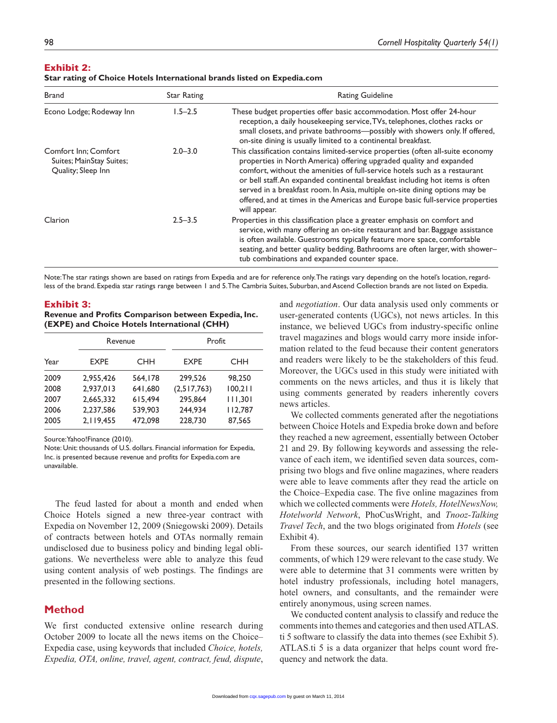| Exhibit 2: |
|------------|
|------------|

| Star rating of Choice Hotels International brands listed on Expedia.com |  |  |
|-------------------------------------------------------------------------|--|--|
|-------------------------------------------------------------------------|--|--|

| <b>Brand</b>                                                           | Star Rating | <b>Rating Guideline</b>                                                                                                                                                                                                                                                                                                                                                                                                                                                                                 |
|------------------------------------------------------------------------|-------------|---------------------------------------------------------------------------------------------------------------------------------------------------------------------------------------------------------------------------------------------------------------------------------------------------------------------------------------------------------------------------------------------------------------------------------------------------------------------------------------------------------|
| Econo Lodge; Rodeway Inn                                               | $1.5 - 2.5$ | These budget properties offer basic accommodation. Most offer 24-hour<br>reception, a daily housekeeping service, TVs, telephones, clothes racks or<br>small closets, and private bathrooms-possibly with showers only. If offered,<br>on-site dining is usually limited to a continental breakfast.                                                                                                                                                                                                    |
| Comfort Inn: Comfort<br>Suites; MainStay Suites;<br>Quality; Sleep Inn | $2.0 - 3.0$ | This classification contains limited-service properties (often all-suite economy<br>properties in North America) offering upgraded quality and expanded<br>comfort, without the amenities of full-service hotels such as a restaurant<br>or bell staff. An expanded continental breakfast including hot items is often<br>served in a breakfast room. In Asia, multiple on-site dining options may be<br>offered, and at times in the Americas and Europe basic full-service properties<br>will appear. |
| Clarion                                                                | $2.5 - 3.5$ | Properties in this classification place a greater emphasis on comfort and<br>service, with many offering an on-site restaurant and bar. Baggage assistance<br>is often available. Guestrooms typically feature more space, comfortable<br>seating, and better quality bedding. Bathrooms are often larger, with shower-<br>tub combinations and expanded counter space.                                                                                                                                 |

Note: The star ratings shown are based on ratings from Expedia and are for reference only. The ratings vary depending on the hotel's location, regardless of the brand. Expedia star ratings range between 1 and 5. The Cambria Suites, Suburban, and Ascend Collection brands are not listed on Expedia.

#### Exhibit 3:

**Revenue and Profits Comparison between Expedia, Inc. (EXPE) and Choice Hotels International (CHH)**

|      | Revenue     |            | Profit      |            |  |
|------|-------------|------------|-------------|------------|--|
| Year | <b>FXPE</b> | <b>CHH</b> | <b>FXPE</b> | <b>CHH</b> |  |
| 2009 | 2,955,426   | 564.178    | 299,526     | 98,250     |  |
| 2008 | 2,937,013   | 641.680    | (2,517,763) | 100,211    |  |
| 2007 | 2.665.332   | 615.494    | 295.864     | 111.301    |  |
| 2006 | 2.237.586   | 539.903    | 244.934     | 112.787    |  |
| 2005 | 2.119.455   | 472.098    | 228,730     | 87,565     |  |

Source: Yahoo!Finance (2010).

Note: Unit: thousands of U.S. dollars. Financial information for Expedia, Inc. is presented because revenue and profits for Expedia.com are unavailable.

The feud lasted for about a month and ended when Choice Hotels signed a new three-year contract with Expedia on November 12, 2009 (Sniegowski 2009). Details of contracts between hotels and OTAs normally remain undisclosed due to business policy and binding legal obligations. We nevertheless were able to analyze this feud using content analysis of web postings. The findings are presented in the following sections.

#### **Method**

We first conducted extensive online research during October 2009 to locate all the news items on the Choice– Expedia case, using keywords that included *Choice, hotels, Expedia, OTA, online, travel, agent, contract, feud, dispute*,

and *negotiation*. Our data analysis used only comments or user-generated contents (UGCs), not news articles. In this instance, we believed UGCs from industry-specific online travel magazines and blogs would carry more inside information related to the feud because their content generators and readers were likely to be the stakeholders of this feud. Moreover, the UGCs used in this study were initiated with comments on the news articles, and thus it is likely that using comments generated by readers inherently covers news articles.

We collected comments generated after the negotiations between Choice Hotels and Expedia broke down and before they reached a new agreement, essentially between October 21 and 29. By following keywords and assessing the relevance of each item, we identified seven data sources, comprising two blogs and five online magazines, where readers were able to leave comments after they read the article on the Choice–Expedia case. The five online magazines from which we collected comments were *Hotels, HotelNewsNow, Hotelworld Network*, PhoCusWright, and *Tnooz-Talking Travel Tech*, and the two blogs originated from *Hotels* (see Exhibit 4).

From these sources, our search identified 137 written comments, of which 129 were relevant to the case study. We were able to determine that 31 comments were written by hotel industry professionals, including hotel managers, hotel owners, and consultants, and the remainder were entirely anonymous, using screen names.

We conducted content analysis to classify and reduce the comments into themes and categories and then used ATLAS. ti 5 software to classify the data into themes (see Exhibit 5). ATLAS.ti 5 is a data organizer that helps count word frequency and network the data.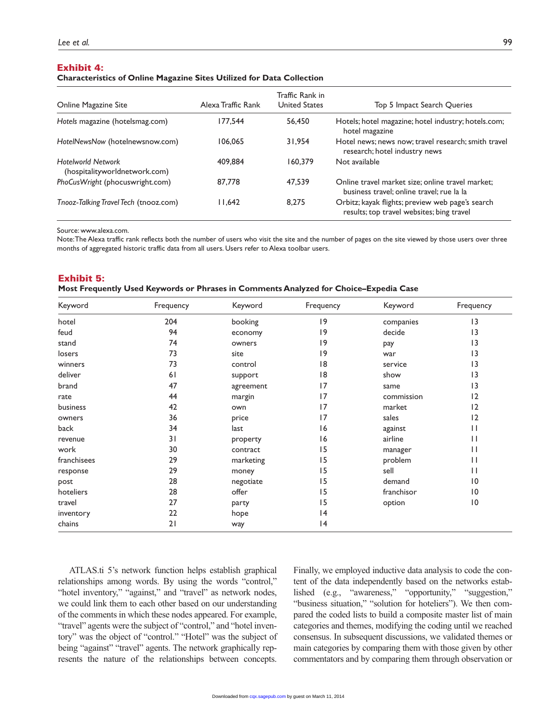#### Exhibit 4:

#### **Characteristics of Online Magazine Sites Utilized for Data Collection**

| <b>Online Magazine Site</b>                                | Alexa Traffic Rank | Traffic Rank in<br><b>United States</b> | Top 5 Impact Search Queries                                                                   |
|------------------------------------------------------------|--------------------|-----------------------------------------|-----------------------------------------------------------------------------------------------|
| Hotels magazine (hotelsmag.com)                            | 177.544            | 56,450                                  | Hotels; hotel magazine; hotel industry; hotels.com;<br>hotel magazine                         |
| HotelNewsNow (hotelnewsnow.com)                            | 106.065            | 31.954                                  | Hotel news; news now; travel research; smith travel<br>research; hotel industry news          |
| <b>Hotelworld Network</b><br>(hospitalityworldnetwork.com) | 409,884            | 160,379                                 | Not available                                                                                 |
| PhoCusWright (phocuswright.com)                            | 87,778             | 47.539                                  | Online travel market size; online travel market;<br>business travel; online travel; rue la la |
| Tnooz-Talking Travel Tech (tnooz.com)                      | 11.642             | 8.275                                   | Orbitz; kayak flights; preview web page's search<br>results; top travel websites; bing travel |

Source: www.alexa.com.

Note: The Alexa traffic rank reflects both the number of users who visit the site and the number of pages on the site viewed by those users over three months of aggregated historic traffic data from all users. Users refer to Alexa toolbar users.

#### Exhibit 5: **Most Frequently Used Keywords or Phrases in Comments Analyzed for Choice–Expedia Case**

| Keyword     | Frequency | Keyword   | Frequency | Keyword    | Frequency       |
|-------------|-----------|-----------|-----------|------------|-----------------|
| hotel       | 204       | booking   | 19        | companies  | 3               |
| feud        | 94        | economy   | 19        | decide     | 3               |
| stand       | 74        | owners    | 9         | pay        | 3               |
| losers      | 73        | site      | 9         | war        | 3               |
| winners     | 73        | control   | 18        | service    | 3               |
| deliver     | 61        | support   | 18        | show       | 3               |
| brand       | 47        | agreement | 17        | same       | 3               |
| rate        | 44        | margin    | 17        | commission | 12              |
| business    | 42        | own       | 17        | market     | 12              |
| owners      | 36        | price     | 17        | sales      | 12              |
| back        | 34        | last      | 16        | against    | $\mathbf{H}$    |
| revenue     | 31        | property  | 16        | airline    | $\mathbf{I}$    |
| work        | 30        | contract  | 15        | manager    | $\mathbf{H}$    |
| franchisees | 29        | marketing | 15        | problem    | П               |
| response    | 29        | money     | 15        | sell       | $\mathbf{H}$    |
| post        | 28        | negotiate | 15        | demand     | $\overline{10}$ |
| hoteliers   | 28        | offer     | 15        | franchisor | $\overline{0}$  |
| travel      | 27        | party     | 15        | option     | 0               |
| inventory   | 22        | hope      | 4         |            |                 |
| chains      | 21        | way       | 4         |            |                 |

ATLAS.ti 5's network function helps establish graphical relationships among words. By using the words "control," "hotel inventory," "against," and "travel" as network nodes, we could link them to each other based on our understanding of the comments in which these nodes appeared. For example, "travel" agents were the subject of "control," and "hotel inventory" was the object of "control." "Hotel" was the subject of being "against" "travel" agents. The network graphically represents the nature of the relationships between concepts.

Finally, we employed inductive data analysis to code the content of the data independently based on the networks established (e.g., "awareness," "opportunity," "suggestion," "business situation," "solution for hoteliers"). We then compared the coded lists to build a composite master list of main categories and themes, modifying the coding until we reached consensus. In subsequent discussions, we validated themes or main categories by comparing them with those given by other commentators and by comparing them through observation or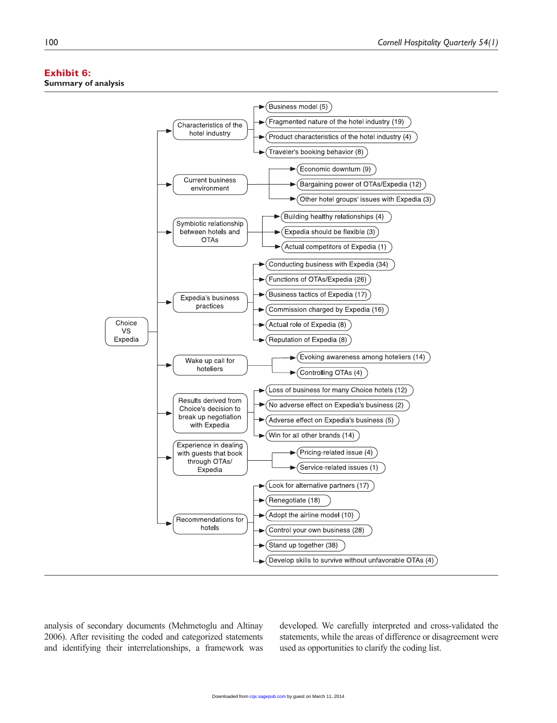#### Exhibit 6: **Summary of analysis**



analysis of secondary documents (Mehmetoglu and Altinay 2006). After revisiting the coded and categorized statements and identifying their interrelationships, a framework was

developed. We carefully interpreted and cross-validated the statements, while the areas of difference or disagreement were used as opportunities to clarify the coding list.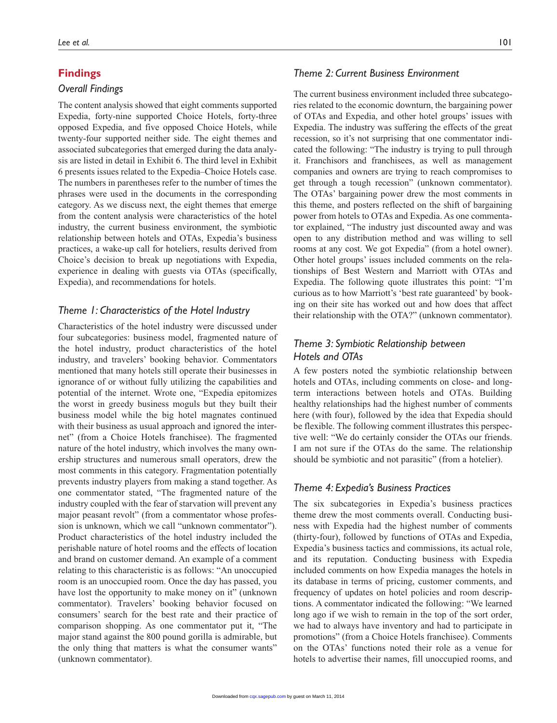## **Findings**

#### *Overall Findings*

The content analysis showed that eight comments supported Expedia, forty-nine supported Choice Hotels, forty-three opposed Expedia, and five opposed Choice Hotels, while twenty-four supported neither side. The eight themes and associated subcategories that emerged during the data analysis are listed in detail in Exhibit 6. The third level in Exhibit 6 presents issues related to the Expedia–Choice Hotels case. The numbers in parentheses refer to the number of times the phrases were used in the documents in the corresponding category. As we discuss next, the eight themes that emerge from the content analysis were characteristics of the hotel industry, the current business environment, the symbiotic relationship between hotels and OTAs, Expedia's business practices, a wake-up call for hoteliers, results derived from Choice's decision to break up negotiations with Expedia, experience in dealing with guests via OTAs (specifically, Expedia), and recommendations for hotels.

#### *Theme 1: Characteristics of the Hotel Industry*

Characteristics of the hotel industry were discussed under four subcategories: business model, fragmented nature of the hotel industry, product characteristics of the hotel industry, and travelers' booking behavior. Commentators mentioned that many hotels still operate their businesses in ignorance of or without fully utilizing the capabilities and potential of the internet. Wrote one, "Expedia epitomizes the worst in greedy business moguls but they built their business model while the big hotel magnates continued with their business as usual approach and ignored the internet" (from a Choice Hotels franchisee). The fragmented nature of the hotel industry, which involves the many ownership structures and numerous small operators, drew the most comments in this category. Fragmentation potentially prevents industry players from making a stand together. As one commentator stated, "The fragmented nature of the industry coupled with the fear of starvation will prevent any major peasant revolt" (from a commentator whose profession is unknown, which we call "unknown commentator"). Product characteristics of the hotel industry included the perishable nature of hotel rooms and the effects of location and brand on customer demand. An example of a comment relating to this characteristic is as follows: "An unoccupied room is an unoccupied room. Once the day has passed, you have lost the opportunity to make money on it" (unknown commentator). Travelers' booking behavior focused on consumers' search for the best rate and their practice of comparison shopping. As one commentator put it, "The major stand against the 800 pound gorilla is admirable, but the only thing that matters is what the consumer wants" (unknown commentator).

#### *Theme 2: Current Business Environment*

The current business environment included three subcategories related to the economic downturn, the bargaining power of OTAs and Expedia, and other hotel groups' issues with Expedia. The industry was suffering the effects of the great recession, so it's not surprising that one commentator indicated the following: "The industry is trying to pull through it. Franchisors and franchisees, as well as management companies and owners are trying to reach compromises to get through a tough recession" (unknown commentator). The OTAs' bargaining power drew the most comments in this theme, and posters reflected on the shift of bargaining power from hotels to OTAs and Expedia. As one commentator explained, "The industry just discounted away and was open to any distribution method and was willing to sell rooms at any cost. We got Expedia" (from a hotel owner). Other hotel groups' issues included comments on the relationships of Best Western and Marriott with OTAs and Expedia. The following quote illustrates this point: "I'm curious as to how Marriott's 'best rate guaranteed' by booking on their site has worked out and how does that affect their relationship with the OTA?" (unknown commentator).

# *Theme 3: Symbiotic Relationship between Hotels and OTAs*

A few posters noted the symbiotic relationship between hotels and OTAs, including comments on close- and longterm interactions between hotels and OTAs. Building healthy relationships had the highest number of comments here (with four), followed by the idea that Expedia should be flexible. The following comment illustrates this perspective well: "We do certainly consider the OTAs our friends. I am not sure if the OTAs do the same. The relationship should be symbiotic and not parasitic" (from a hotelier).

#### *Theme 4: Expedia's Business Practices*

The six subcategories in Expedia's business practices theme drew the most comments overall. Conducting business with Expedia had the highest number of comments (thirty-four), followed by functions of OTAs and Expedia, Expedia's business tactics and commissions, its actual role, and its reputation. Conducting business with Expedia included comments on how Expedia manages the hotels in its database in terms of pricing, customer comments, and frequency of updates on hotel policies and room descriptions. A commentator indicated the following: "We learned long ago if we wish to remain in the top of the sort order, we had to always have inventory and had to participate in promotions" (from a Choice Hotels franchisee). Comments on the OTAs' functions noted their role as a venue for hotels to advertise their names, fill unoccupied rooms, and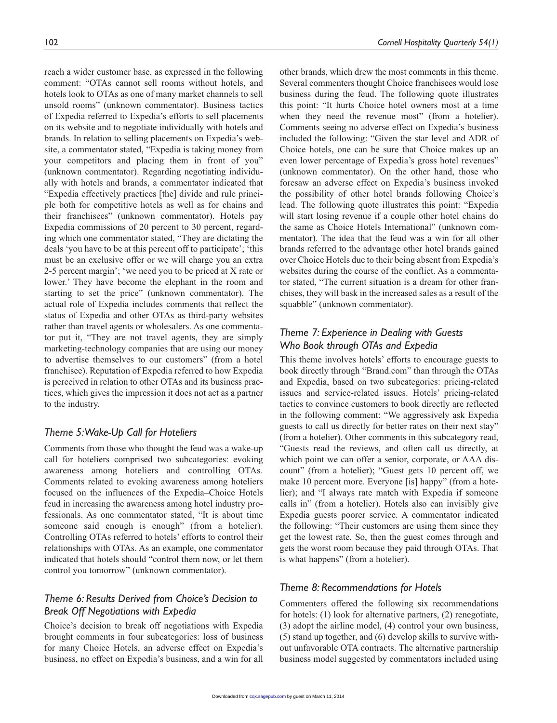reach a wider customer base, as expressed in the following comment: "OTAs cannot sell rooms without hotels, and hotels look to OTAs as one of many market channels to sell unsold rooms" (unknown commentator). Business tactics of Expedia referred to Expedia's efforts to sell placements on its website and to negotiate individually with hotels and brands. In relation to selling placements on Expedia's website, a commentator stated, "Expedia is taking money from your competitors and placing them in front of you" (unknown commentator). Regarding negotiating individually with hotels and brands, a commentator indicated that "Expedia effectively practices [the] divide and rule principle both for competitive hotels as well as for chains and their franchisees" (unknown commentator). Hotels pay Expedia commissions of 20 percent to 30 percent, regarding which one commentator stated, "They are dictating the deals 'you have to be at this percent off to participate'; 'this must be an exclusive offer or we will charge you an extra 2-5 percent margin'; 'we need you to be priced at X rate or lower.' They have become the elephant in the room and starting to set the price" (unknown commentator). The actual role of Expedia includes comments that reflect the status of Expedia and other OTAs as third-party websites rather than travel agents or wholesalers. As one commentator put it, "They are not travel agents, they are simply marketing-technology companies that are using our money to advertise themselves to our customers" (from a hotel franchisee). Reputation of Expedia referred to how Expedia is perceived in relation to other OTAs and its business practices, which gives the impression it does not act as a partner to the industry.

# *Theme 5: Wake-Up Call for Hoteliers*

Comments from those who thought the feud was a wake-up call for hoteliers comprised two subcategories: evoking awareness among hoteliers and controlling OTAs. Comments related to evoking awareness among hoteliers focused on the influences of the Expedia–Choice Hotels feud in increasing the awareness among hotel industry professionals. As one commentator stated, "It is about time someone said enough is enough" (from a hotelier). Controlling OTAs referred to hotels' efforts to control their relationships with OTAs. As an example, one commentator indicated that hotels should "control them now, or let them control you tomorrow" (unknown commentator).

# *Theme 6: Results Derived from Choice's Decision to Break Off Negotiations with Expedia*

Choice's decision to break off negotiations with Expedia brought comments in four subcategories: loss of business for many Choice Hotels, an adverse effect on Expedia's business, no effect on Expedia's business, and a win for all other brands, which drew the most comments in this theme. Several commenters thought Choice franchisees would lose business during the feud. The following quote illustrates this point: "It hurts Choice hotel owners most at a time when they need the revenue most" (from a hotelier). Comments seeing no adverse effect on Expedia's business included the following: "Given the star level and ADR of Choice hotels, one can be sure that Choice makes up an even lower percentage of Expedia's gross hotel revenues" (unknown commentator). On the other hand, those who foresaw an adverse effect on Expedia's business invoked the possibility of other hotel brands following Choice's lead. The following quote illustrates this point: "Expedia will start losing revenue if a couple other hotel chains do the same as Choice Hotels International" (unknown commentator). The idea that the feud was a win for all other brands referred to the advantage other hotel brands gained over Choice Hotels due to their being absent from Expedia's websites during the course of the conflict. As a commentator stated, "The current situation is a dream for other franchises, they will bask in the increased sales as a result of the squabble" (unknown commentator).

# *Theme 7: Experience in Dealing with Guests Who Book through OTAs and Expedia*

This theme involves hotels' efforts to encourage guests to book directly through "Brand.com" than through the OTAs and Expedia, based on two subcategories: pricing-related issues and service-related issues. Hotels' pricing-related tactics to convince customers to book directly are reflected in the following comment: "We aggressively ask Expedia guests to call us directly for better rates on their next stay" (from a hotelier). Other comments in this subcategory read, "Guests read the reviews, and often call us directly, at which point we can offer a senior, corporate, or AAA discount" (from a hotelier); "Guest gets 10 percent off, we make 10 percent more. Everyone [is] happy" (from a hotelier); and "I always rate match with Expedia if someone calls in" (from a hotelier). Hotels also can invisibly give Expedia guests poorer service. A commentator indicated the following: "Their customers are using them since they get the lowest rate. So, then the guest comes through and gets the worst room because they paid through OTAs. That is what happens" (from a hotelier).

#### *Theme 8: Recommendations for Hotels*

Commenters offered the following six recommendations for hotels: (1) look for alternative partners, (2) renegotiate, (3) adopt the airline model, (4) control your own business, (5) stand up together, and (6) develop skills to survive without unfavorable OTA contracts. The alternative partnership business model suggested by commentators included using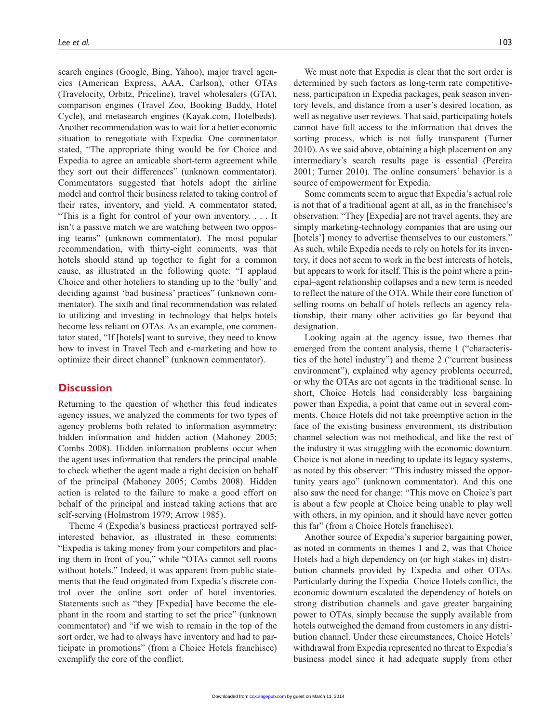search engines (Google, Bing, Yahoo), major travel agencies (American Express, AAA, Carlson), other OTAs (Travelocity, Orbitz, Priceline), travel wholesalers (GTA), comparison engines (Travel Zoo, Booking Buddy, Hotel Cycle), and metasearch engines (Kayak.com, Hotelbeds). Another recommendation was to wait for a better economic situation to renegotiate with Expedia. One commentator stated, "The appropriate thing would be for Choice and Expedia to agree an amicable short-term agreement while they sort out their differences" (unknown commentator). Commentators suggested that hotels adopt the airline model and control their business related to taking control of their rates, inventory, and yield. A commentator stated, "This is a fight for control of your own inventory. . . . It isn't a passive match we are watching between two opposing teams" (unknown commentator). The most popular recommendation, with thirty-eight comments, was that hotels should stand up together to fight for a common cause, as illustrated in the following quote: "I applaud Choice and other hoteliers to standing up to the 'bully' and deciding against 'bad business' practices" (unknown commentator). The sixth and final recommendation was related to utilizing and investing in technology that helps hotels become less reliant on OTAs. As an example, one commentator stated, "If [hotels] want to survive, they need to know how to invest in Travel Tech and e-marketing and how to optimize their direct channel" (unknown commentator).

#### **Discussion**

Returning to the question of whether this feud indicates agency issues, we analyzed the comments for two types of agency problems both related to information asymmetry: hidden information and hidden action (Mahoney 2005; Combs 2008). Hidden information problems occur when the agent uses information that renders the principal unable to check whether the agent made a right decision on behalf of the principal (Mahoney 2005; Combs 2008). Hidden action is related to the failure to make a good effort on behalf of the principal and instead taking actions that are self-serving (Holmstrom 1979; Arrow 1985).

Theme 4 (Expedia's business practices) portrayed selfinterested behavior, as illustrated in these comments: "Expedia is taking money from your competitors and placing them in front of you," while "OTAs cannot sell rooms without hotels." Indeed, it was apparent from public statements that the feud originated from Expedia's discrete control over the online sort order of hotel inventories. Statements such as "they [Expedia] have become the elephant in the room and starting to set the price" (unknown commentator) and "if we wish to remain in the top of the sort order, we had to always have inventory and had to participate in promotions" (from a Choice Hotels franchisee) exemplify the core of the conflict.

We must note that Expedia is clear that the sort order is determined by such factors as long-term rate competitiveness, participation in Expedia packages, peak season inventory levels, and distance from a user's desired location, as well as negative user reviews. That said, participating hotels cannot have full access to the information that drives the sorting process, which is not fully transparent (Turner 2010). As we said above, obtaining a high placement on any intermediary's search results page is essential (Pereira 2001; Turner 2010). The online consumers' behavior is a source of empowerment for Expedia.

Some comments seem to argue that Expedia's actual role is not that of a traditional agent at all, as in the franchisee's observation: "They [Expedia] are not travel agents, they are simply marketing-technology companies that are using our [hotels'] money to advertise themselves to our customers." As such, while Expedia needs to rely on hotels for its inventory, it does not seem to work in the best interests of hotels, but appears to work for itself. This is the point where a principal–agent relationship collapses and a new term is needed to reflect the nature of the OTA. While their core function of selling rooms on behalf of hotels reflects an agency relationship, their many other activities go far beyond that designation.

Looking again at the agency issue, two themes that emerged from the content analysis, theme 1 ("characteristics of the hotel industry") and theme 2 ("current business environment"), explained why agency problems occurred, or why the OTAs are not agents in the traditional sense. In short, Choice Hotels had considerably less bargaining power than Expedia, a point that came out in several comments. Choice Hotels did not take preemptive action in the face of the existing business environment, its distribution channel selection was not methodical, and like the rest of the industry it was struggling with the economic downturn. Choice is not alone in needing to update its legacy systems, as noted by this observer: "This industry missed the opportunity years ago" (unknown commentator). And this one also saw the need for change: "This move on Choice's part is about a few people at Choice being unable to play well with others, in my opinion, and it should have never gotten this far" (from a Choice Hotels franchisee).

Another source of Expedia's superior bargaining power, as noted in comments in themes 1 and 2, was that Choice Hotels had a high dependency on (or high stakes in) distribution channels provided by Expedia and other OTAs. Particularly during the Expedia–Choice Hotels conflict, the economic downturn escalated the dependency of hotels on strong distribution channels and gave greater bargaining power to OTAs, simply because the supply available from hotels outweighed the demand from customers in any distribution channel. Under these circumstances, Choice Hotels' withdrawal from Expedia represented no threat to Expedia's business model since it had adequate supply from other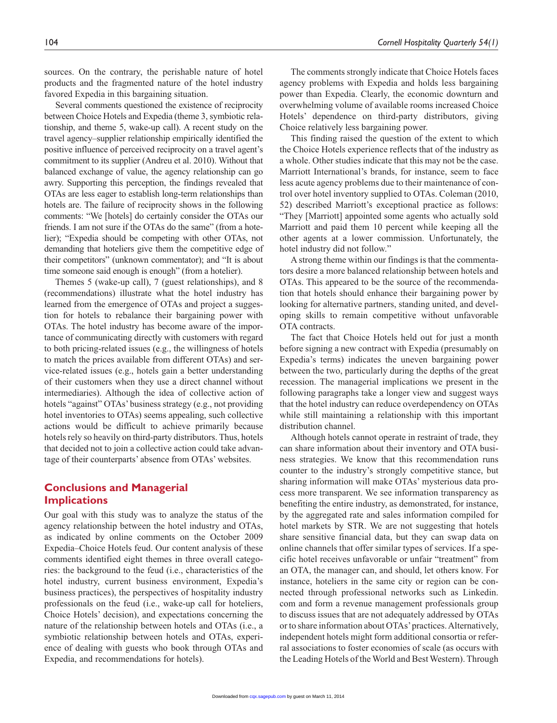sources. On the contrary, the perishable nature of hotel products and the fragmented nature of the hotel industry favored Expedia in this bargaining situation.

Several comments questioned the existence of reciprocity between Choice Hotels and Expedia (theme 3, symbiotic relationship, and theme 5, wake-up call). A recent study on the travel agency–supplier relationship empirically identified the positive influence of perceived reciprocity on a travel agent's commitment to its supplier (Andreu et al. 2010). Without that balanced exchange of value, the agency relationship can go awry. Supporting this perception, the findings revealed that OTAs are less eager to establish long-term relationships than hotels are. The failure of reciprocity shows in the following comments: "We [hotels] do certainly consider the OTAs our friends. I am not sure if the OTAs do the same" (from a hotelier); "Expedia should be competing with other OTAs, not demanding that hoteliers give them the competitive edge of their competitors" (unknown commentator); and "It is about time someone said enough is enough" (from a hotelier).

Themes 5 (wake-up call), 7 (guest relationships), and 8 (recommendations) illustrate what the hotel industry has learned from the emergence of OTAs and project a suggestion for hotels to rebalance their bargaining power with OTAs. The hotel industry has become aware of the importance of communicating directly with customers with regard to both pricing-related issues (e.g., the willingness of hotels to match the prices available from different OTAs) and service-related issues (e.g., hotels gain a better understanding of their customers when they use a direct channel without intermediaries). Although the idea of collective action of hotels "against" OTAs' business strategy (e.g., not providing hotel inventories to OTAs) seems appealing, such collective actions would be difficult to achieve primarily because hotels rely so heavily on third-party distributors. Thus, hotels that decided not to join a collective action could take advantage of their counterparts' absence from OTAs' websites.

# **Conclusions and Managerial Implications**

Our goal with this study was to analyze the status of the agency relationship between the hotel industry and OTAs, as indicated by online comments on the October 2009 Expedia–Choice Hotels feud. Our content analysis of these comments identified eight themes in three overall categories: the background to the feud (i.e., characteristics of the hotel industry, current business environment, Expedia's business practices), the perspectives of hospitality industry professionals on the feud (i.e., wake-up call for hoteliers, Choice Hotels' decision), and expectations concerning the nature of the relationship between hotels and OTAs (i.e., a symbiotic relationship between hotels and OTAs, experience of dealing with guests who book through OTAs and Expedia, and recommendations for hotels).

This finding raised the question of the extent to which the Choice Hotels experience reflects that of the industry as a whole. Other studies indicate that this may not be the case. Marriott International's brands, for instance, seem to face less acute agency problems due to their maintenance of control over hotel inventory supplied to OTAs. Coleman (2010, 52) described Marriott's exceptional practice as follows: "They [Marriott] appointed some agents who actually sold Marriott and paid them 10 percent while keeping all the other agents at a lower commission. Unfortunately, the hotel industry did not follow."

A strong theme within our findings is that the commentators desire a more balanced relationship between hotels and OTAs. This appeared to be the source of the recommendation that hotels should enhance their bargaining power by looking for alternative partners, standing united, and developing skills to remain competitive without unfavorable OTA contracts.

The fact that Choice Hotels held out for just a month before signing a new contract with Expedia (presumably on Expedia's terms) indicates the uneven bargaining power between the two, particularly during the depths of the great recession. The managerial implications we present in the following paragraphs take a longer view and suggest ways that the hotel industry can reduce overdependency on OTAs while still maintaining a relationship with this important distribution channel.

Although hotels cannot operate in restraint of trade, they can share information about their inventory and OTA business strategies. We know that this recommendation runs counter to the industry's strongly competitive stance, but sharing information will make OTAs' mysterious data process more transparent. We see information transparency as benefiting the entire industry, as demonstrated, for instance, by the aggregated rate and sales information compiled for hotel markets by STR. We are not suggesting that hotels share sensitive financial data, but they can swap data on online channels that offer similar types of services. If a specific hotel receives unfavorable or unfair "treatment" from an OTA, the manager can, and should, let others know. For instance, hoteliers in the same city or region can be connected through professional networks such as Linkedin. com and form a revenue management professionals group to discuss issues that are not adequately addressed by OTAs or to share information about OTAs' practices. Alternatively, independent hotels might form additional consortia or referral associations to foster economies of scale (as occurs with the Leading Hotels of the World and Best Western). Through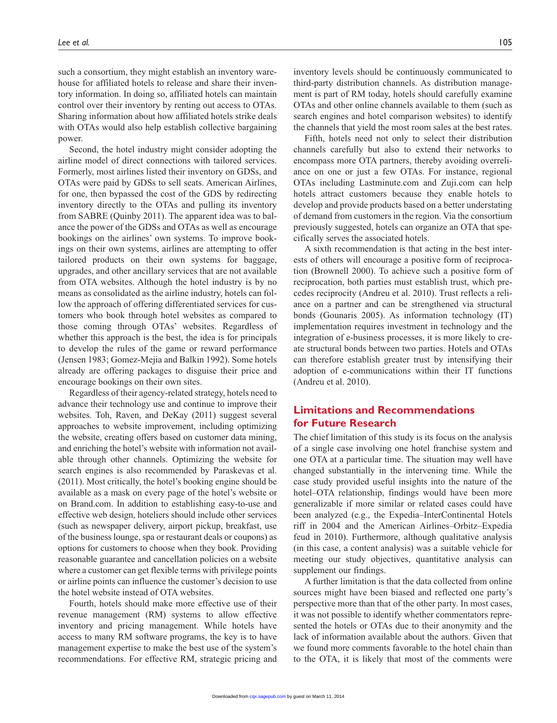such a consortium, they might establish an inventory warehouse for affiliated hotels to release and share their inventory information. In doing so, affiliated hotels can maintain control over their inventory by renting out access to OTAs. Sharing information about how affiliated hotels strike deals with OTAs would also help establish collective bargaining power.

Second, the hotel industry might consider adopting the airline model of direct connections with tailored services. Formerly, most airlines listed their inventory on GDSs, and OTAs were paid by GDSs to sell seats. American Airlines, for one, then bypassed the cost of the GDS by redirecting inventory directly to the OTAs and pulling its inventory from SABRE (Quinby 2011). The apparent idea was to balance the power of the GDSs and OTAs as well as encourage bookings on the airlines' own systems. To improve bookings on their own systems, airlines are attempting to offer tailored products on their own systems for baggage, upgrades, and other ancillary services that are not available from OTA websites. Although the hotel industry is by no means as consolidated as the airline industry, hotels can follow the approach of offering differentiated services for customers who book through hotel websites as compared to those coming through OTAs' websites. Regardless of whether this approach is the best, the idea is for principals to develop the rules of the game or reward performance (Jensen 1983; Gomez-Mejia and Balkin 1992). Some hotels already are offering packages to disguise their price and encourage bookings on their own sites.

Regardless of their agency-related strategy, hotels need to advance their technology use and continue to improve their websites. Toh, Raven, and DeKay (2011) suggest several approaches to website improvement, including optimizing the website, creating offers based on customer data mining, and enriching the hotel's website with information not available through other channels. Optimizing the website for search engines is also recommended by Paraskevas et al. (2011). Most critically, the hotel's booking engine should be available as a mask on every page of the hotel's website or on Brand.com. In addition to establishing easy-to-use and effective web design, hoteliers should include other services (such as newspaper delivery, airport pickup, breakfast, use of the business lounge, spa or restaurant deals or coupons) as options for customers to choose when they book. Providing reasonable guarantee and cancellation policies on a website where a customer can get flexible terms with privilege points or airline points can influence the customer's decision to use the hotel website instead of OTA websites.

Fourth, hotels should make more effective use of their revenue management (RM) systems to allow effective inventory and pricing management. While hotels have access to many RM software programs, the key is to have management expertise to make the best use of the system's recommendations. For effective RM, strategic pricing and

inventory levels should be continuously communicated to third-party distribution channels. As distribution management is part of RM today, hotels should carefully examine OTAs and other online channels available to them (such as search engines and hotel comparison websites) to identify the channels that yield the most room sales at the best rates.

Fifth, hotels need not only to select their distribution channels carefully but also to extend their networks to encompass more OTA partners, thereby avoiding overreliance on one or just a few OTAs. For instance, regional OTAs including Lastminute.com and Zuji.com can help hotels attract customers because they enable hotels to develop and provide products based on a better understating of demand from customers in the region. Via the consortium previously suggested, hotels can organize an OTA that specifically serves the associated hotels.

A sixth recommendation is that acting in the best interests of others will encourage a positive form of reciprocation (Brownell 2000). To achieve such a positive form of reciprocation, both parties must establish trust, which precedes reciprocity (Andreu et al. 2010). Trust reflects a reliance on a partner and can be strengthened via structural bonds (Gounaris 2005). As information technology (IT) implementation requires investment in technology and the integration of e-business processes, it is more likely to create structural bonds between two parties. Hotels and OTAs can therefore establish greater trust by intensifying their adoption of e-communications within their IT functions (Andreu et al. 2010).

# **Limitations and Recommendations for Future Research**

The chief limitation of this study is its focus on the analysis of a single case involving one hotel franchise system and one OTA at a particular time. The situation may well have changed substantially in the intervening time. While the case study provided useful insights into the nature of the hotel–OTA relationship, findings would have been more generalizable if more similar or related cases could have been analyzed (e.g., the Expedia–InterContinental Hotels riff in 2004 and the American Airlines–Orbitz–Expedia feud in 2010). Furthermore, although qualitative analysis (in this case, a content analysis) was a suitable vehicle for meeting our study objectives, quantitative analysis can supplement our findings.

A further limitation is that the data collected from online sources might have been biased and reflected one party's perspective more than that of the other party. In most cases, it was not possible to identify whether commentators represented the hotels or OTAs due to their anonymity and the lack of information available about the authors. Given that we found more comments favorable to the hotel chain than to the OTA, it is likely that most of the comments were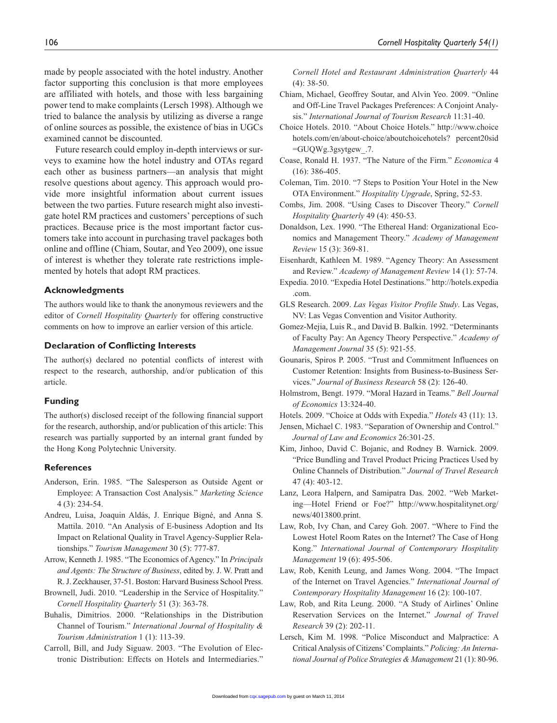made by people associated with the hotel industry. Another factor supporting this conclusion is that more employees are affiliated with hotels, and those with less bargaining power tend to make complaints (Lersch 1998). Although we tried to balance the analysis by utilizing as diverse a range of online sources as possible, the existence of bias in UGCs examined cannot be discounted.

Future research could employ in-depth interviews or surveys to examine how the hotel industry and OTAs regard each other as business partners—an analysis that might resolve questions about agency. This approach would provide more insightful information about current issues between the two parties. Future research might also investigate hotel RM practices and customers' perceptions of such practices. Because price is the most important factor customers take into account in purchasing travel packages both online and offline (Chiam, Soutar, and Yeo 2009), one issue of interest is whether they tolerate rate restrictions implemented by hotels that adopt RM practices.

#### **Acknowledgments**

The authors would like to thank the anonymous reviewers and the editor of *Cornell Hospitality Quarterly* for offering constructive comments on how to improve an earlier version of this article.

#### **Declaration of Conflicting Interests**

The author(s) declared no potential conflicts of interest with respect to the research, authorship, and/or publication of this article.

#### **Funding**

The author(s) disclosed receipt of the following financial support for the research, authorship, and/or publication of this article: This research was partially supported by an internal grant funded by the Hong Kong Polytechnic University.

#### **References**

- Anderson, Erin. 1985. "The Salesperson as Outside Agent or Employee: A Transaction Cost Analysis." *Marketing Science* 4 (3): 234-54.
- Andreu, Luisa, Joaquin Aldás, J. Enrique Bigné, and Anna S. Mattila. 2010. "An Analysis of E-business Adoption and Its Impact on Relational Quality in Travel Agency-Supplier Relationships." *Tourism Management* 30 (5): 777-87.
- Arrow, Kenneth J. 1985. "The Economics of Agency." In *Principals and Agents: The Structure of Business*, edited by. J. W. Pratt and R. J. Zeckhauser, 37-51. Boston: Harvard Business School Press.
- Brownell, Judi. 2010. "Leadership in the Service of Hospitality." *Cornell Hospitality Quarterly* 51 (3): 363-78.
- Buhalis, Dimitrios. 2000. "Relationships in the Distribution Channel of Tourism." *International Journal of Hospitality & Tourism Administration* 1 (1): 113-39.
- Carroll, Bill, and Judy Siguaw. 2003. "The Evolution of Electronic Distribution: Effects on Hotels and Intermediaries."

*Cornell Hotel and Restaurant Administration Quarterly* 44 (4): 38-50.

- Chiam, Michael, Geoffrey Soutar, and Alvin Yeo. 2009. "Online and Off-Line Travel Packages Preferences: A Conjoint Analysis." *International Journal of Tourism Research* 11:31-40.
- Choice Hotels. 2010. "About Choice Hotels." http://www.choice hotels.com/en/about-choice/aboutchoicehotels? percent20sid =GUQWg.3gsytgew\_.7.
- Coase, Ronald H. 1937. "The Nature of the Firm." *Economica* 4 (16): 386-405.
- Coleman, Tim. 2010. "7 Steps to Position Your Hotel in the New OTA Environment." *Hospitality Upgrade*, Spring, 52-53.
- Combs, Jim. 2008. "Using Cases to Discover Theory." *Cornell Hospitality Quarterly* 49 (4): 450-53.
- Donaldson, Lex. 1990. "The Ethereal Hand: Organizational Economics and Management Theory." *Academy of Management Review* 15 (3): 369-81.
- Eisenhardt, Kathleen M. 1989. "Agency Theory: An Assessment and Review." *Academy of Management Review* 14 (1): 57-74.
- Expedia. 2010. "Expedia Hotel Destinations." http://hotels.expedia .com.
- GLS Research. 2009. *Las Vegas Visitor Profile Study*. Las Vegas, NV: Las Vegas Convention and Visitor Authority.
- Gomez-Mejia, Luis R., and David B. Balkin. 1992. "Determinants of Faculty Pay: An Agency Theory Perspective." *Academy of Management Journal* 35 (5): 921-55.
- Gounaris, Spiros P. 2005. "Trust and Commitment Influences on Customer Retention: Insights from Business-to-Business Services." *Journal of Business Research* 58 (2): 126-40.
- Holmstrom, Bengt. 1979. "Moral Hazard in Teams." *Bell Journal of Economics* 13:324-40.
- Hotels. 2009. "Choice at Odds with Expedia." *Hotels* 43 (11): 13.
- Jensen, Michael C. 1983. "Separation of Ownership and Control." *Journal of Law and Economics* 26:301-25.
- Kim, Jinhoo, David C. Bojanic, and Rodney B. Warnick. 2009. "Price Bundling and Travel Product Pricing Practices Used by Online Channels of Distribution." *Journal of Travel Research* 47 (4): 403-12.
- Lanz, Leora Halpern, and Samipatra Das. 2002. "Web Marketing—Hotel Friend or Foe?" http://www.hospitalitynet.org/ news/4013800.print.
- Law, Rob, Ivy Chan, and Carey Goh. 2007. "Where to Find the Lowest Hotel Room Rates on the Internet? The Case of Hong Kong." *International Journal of Contemporary Hospitality Management* 19 (6): 495-506.
- Law, Rob, Kenith Leung, and James Wong. 2004. "The Impact of the Internet on Travel Agencies." *International Journal of Contemporary Hospitality Management* 16 (2): 100-107.
- Law, Rob, and Rita Leung. 2000. "A Study of Airlines' Online Reservation Services on the Internet." *Journal of Travel Research* 39 (2): 202-11.
- Lersch, Kim M. 1998. "Police Misconduct and Malpractice: A Critical Analysis of Citizens' Complaints." *Policing: An International Journal of Police Strategies & Management* 21 (1): 80-96.